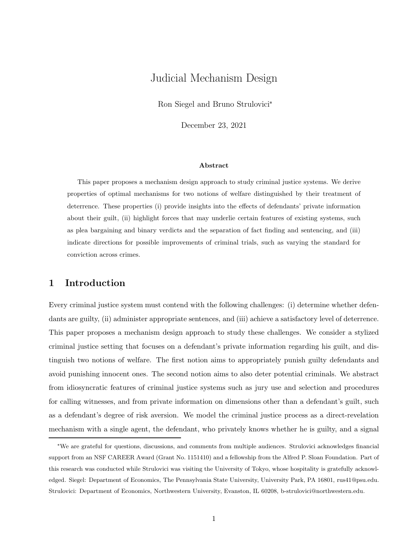## Judicial Mechanism Design

Ron Siegel and Bruno Strulovici<sup>∗</sup>

December 23, 2021

#### Abstract

This paper proposes a mechanism design approach to study criminal justice systems. We derive properties of optimal mechanisms for two notions of welfare distinguished by their treatment of deterrence. These properties (i) provide insights into the effects of defendants' private information about their guilt, (ii) highlight forces that may underlie certain features of existing systems, such as plea bargaining and binary verdicts and the separation of fact finding and sentencing, and (iii) indicate directions for possible improvements of criminal trials, such as varying the standard for conviction across crimes.

## 1 Introduction

Every criminal justice system must contend with the following challenges: (i) determine whether defendants are guilty, (ii) administer appropriate sentences, and (iii) achieve a satisfactory level of deterrence. This paper proposes a mechanism design approach to study these challenges. We consider a stylized criminal justice setting that focuses on a defendant's private information regarding his guilt, and distinguish two notions of welfare. The first notion aims to appropriately punish guilty defendants and avoid punishing innocent ones. The second notion aims to also deter potential criminals. We abstract from idiosyncratic features of criminal justice systems such as jury use and selection and procedures for calling witnesses, and from private information on dimensions other than a defendant's guilt, such as a defendant's degree of risk aversion. We model the criminal justice process as a direct-revelation mechanism with a single agent, the defendant, who privately knows whether he is guilty, and a signal

<sup>∗</sup>We are grateful for questions, discussions, and comments from multiple audiences. Strulovici acknowledges financial support from an NSF CAREER Award (Grant No. 1151410) and a fellowship from the Alfred P. Sloan Foundation. Part of this research was conducted while Strulovici was visiting the University of Tokyo, whose hospitality is gratefully acknowledged. Siegel: Department of Economics, The Pennsylvania State University, University Park, PA 16801, rus41@psu.edu. Strulovici: Department of Economics, Northwestern University, Evanston, IL 60208, b-strulovici@northwestern.edu.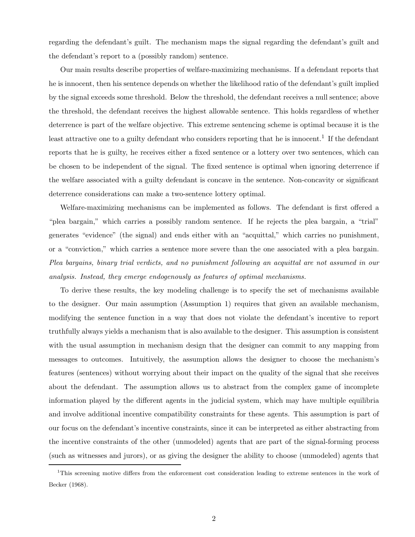regarding the defendant's guilt. The mechanism maps the signal regarding the defendant's guilt and the defendant's report to a (possibly random) sentence.

Our main results describe properties of welfare-maximizing mechanisms. If a defendant reports that he is innocent, then his sentence depends on whether the likelihood ratio of the defendant's guilt implied by the signal exceeds some threshold. Below the threshold, the defendant receives a null sentence; above the threshold, the defendant receives the highest allowable sentence. This holds regardless of whether deterrence is part of the welfare objective. This extreme sentencing scheme is optimal because it is the least attractive one to a guilty defendant who considers reporting that he is innocent.<sup>1</sup> If the defendant reports that he is guilty, he receives either a fixed sentence or a lottery over two sentences, which can be chosen to be independent of the signal. The fixed sentence is optimal when ignoring deterrence if the welfare associated with a guilty defendant is concave in the sentence. Non-concavity or significant deterrence considerations can make a two-sentence lottery optimal.

Welfare-maximizing mechanisms can be implemented as follows. The defendant is first offered a "plea bargain," which carries a possibly random sentence. If he rejects the plea bargain, a "trial" generates "evidence" (the signal) and ends either with an "acquittal," which carries no punishment, or a "conviction," which carries a sentence more severe than the one associated with a plea bargain. Plea bargains, binary trial verdicts, and no punishment following an acquittal are not assumed in our analysis. Instead, they emerge endogenously as features of optimal mechanisms.

To derive these results, the key modeling challenge is to specify the set of mechanisms available to the designer. Our main assumption (Assumption 1) requires that given an available mechanism, modifying the sentence function in a way that does not violate the defendant's incentive to report truthfully always yields a mechanism that is also available to the designer. This assumption is consistent with the usual assumption in mechanism design that the designer can commit to any mapping from messages to outcomes. Intuitively, the assumption allows the designer to choose the mechanism's features (sentences) without worrying about their impact on the quality of the signal that she receives about the defendant. The assumption allows us to abstract from the complex game of incomplete information played by the different agents in the judicial system, which may have multiple equilibria and involve additional incentive compatibility constraints for these agents. This assumption is part of our focus on the defendant's incentive constraints, since it can be interpreted as either abstracting from the incentive constraints of the other (unmodeled) agents that are part of the signal-forming process (such as witnesses and jurors), or as giving the designer the ability to choose (unmodeled) agents that

<sup>&</sup>lt;sup>1</sup>This screening motive differs from the enforcement cost consideration leading to extreme sentences in the work of Becker (1968).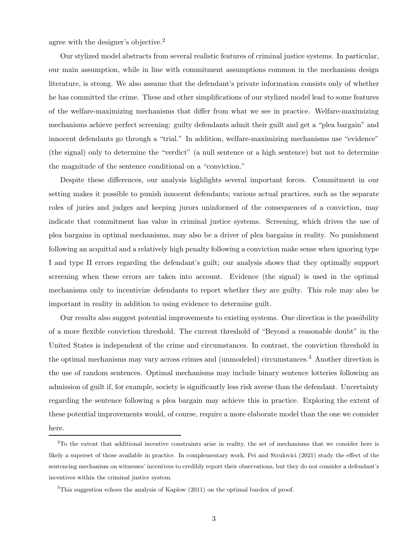agree with the designer's objective.<sup>2</sup>

Our stylized model abstracts from several realistic features of criminal justice systems. In particular, our main assumption, while in line with commitment assumptions common in the mechanism design literature, is strong. We also assume that the defendant's private information consists only of whether he has committed the crime. These and other simplifications of our stylized model lead to some features of the welfare-maximizing mechanisms that differ from what we see in practice. Welfare-maximizing mechanisms achieve perfect screening: guilty defendants admit their guilt and get a "plea bargain" and innocent defendants go through a "trial." In addition, welfare-maximizing mechanisms use "evidence" (the signal) only to determine the "verdict" (a null sentence or a high sentence) but not to determine the magnitude of the sentence conditional on a "conviction."

Despite these differences, our analysis highlights several important forces. Commitment in our setting makes it possible to punish innocent defendants; various actual practices, such as the separate roles of juries and judges and keeping jurors uninformed of the consequences of a conviction, may indicate that commitment has value in criminal justice systems. Screening, which drives the use of plea bargains in optimal mechanisms, may also be a driver of plea bargains in reality. No punishment following an acquittal and a relatively high penalty following a conviction make sense when ignoring type I and type II errors regarding the defendant's guilt; our analysis shows that they optimally support screening when these errors are taken into account. Evidence (the signal) is used in the optimal mechanisms only to incentivize defendants to report whether they are guilty. This role may also be important in reality in addition to using evidence to determine guilt.

Our results also suggest potential improvements to existing systems. One direction is the possibility of a more flexible conviction threshold. The current threshold of "Beyond a reasonable doubt" in the United States is independent of the crime and circumstances. In contrast, the conviction threshold in the optimal mechanisms may vary across crimes and (unmodeled) circumstances.<sup>3</sup> Another direction is the use of random sentences. Optimal mechanisms may include binary sentence lotteries following an admission of guilt if, for example, society is significantly less risk averse than the defendant. Uncertainty regarding the sentence following a plea bargain may achieve this in practice. Exploring the extent of these potential improvements would, of course, require a more elaborate model than the one we consider here.

<sup>2</sup>To the extent that additional incentive constraints arise in reality, the set of mechanisms that we consider here is likely a superset of those available in practice. In complementary work, Pei and Strulovici (2021) study the effect of the sentencing mechanism on witnesses' incentives to credibly report their observations, but they do not consider a defendant's incentives within the criminal justice system.

<sup>3</sup>This suggestion echoes the analysis of Kaplow (2011) on the optimal burden of proof.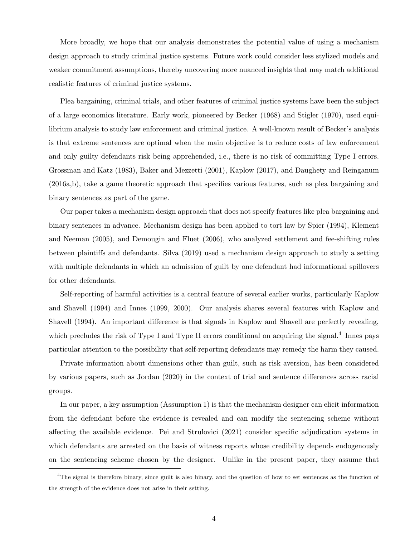More broadly, we hope that our analysis demonstrates the potential value of using a mechanism design approach to study criminal justice systems. Future work could consider less stylized models and weaker commitment assumptions, thereby uncovering more nuanced insights that may match additional realistic features of criminal justice systems.

Plea bargaining, criminal trials, and other features of criminal justice systems have been the subject of a large economics literature. Early work, pioneered by Becker (1968) and Stigler (1970), used equilibrium analysis to study law enforcement and criminal justice. A well-known result of Becker's analysis is that extreme sentences are optimal when the main objective is to reduce costs of law enforcement and only guilty defendants risk being apprehended, i.e., there is no risk of committing Type I errors. Grossman and Katz (1983), Baker and Mezzetti (2001), Kaplow (2017), and Daughety and Reinganum (2016a,b), take a game theoretic approach that specifies various features, such as plea bargaining and binary sentences as part of the game.

Our paper takes a mechanism design approach that does not specify features like plea bargaining and binary sentences in advance. Mechanism design has been applied to tort law by Spier (1994), Klement and Neeman (2005), and Demougin and Fluet (2006), who analyzed settlement and fee-shifting rules between plaintiffs and defendants. Silva (2019) used a mechanism design approach to study a setting with multiple defendants in which an admission of guilt by one defendant had informational spillovers for other defendants.

Self-reporting of harmful activities is a central feature of several earlier works, particularly Kaplow and Shavell (1994) and Innes (1999, 2000). Our analysis shares several features with Kaplow and Shavell (1994). An important difference is that signals in Kaplow and Shavell are perfectly revealing, which precludes the risk of Type I and Type II errors conditional on acquiring the signal.<sup>4</sup> Innes pays particular attention to the possibility that self-reporting defendants may remedy the harm they caused.

Private information about dimensions other than guilt, such as risk aversion, has been considered by various papers, such as Jordan (2020) in the context of trial and sentence differences across racial groups.

In our paper, a key assumption (Assumption 1) is that the mechanism designer can elicit information from the defendant before the evidence is revealed and can modify the sentencing scheme without affecting the available evidence. Pei and Strulovici (2021) consider specific adjudication systems in which defendants are arrested on the basis of witness reports whose credibility depends endogenously on the sentencing scheme chosen by the designer. Unlike in the present paper, they assume that

<sup>&</sup>lt;sup>4</sup>The signal is therefore binary, since guilt is also binary, and the question of how to set sentences as the function of the strength of the evidence does not arise in their setting.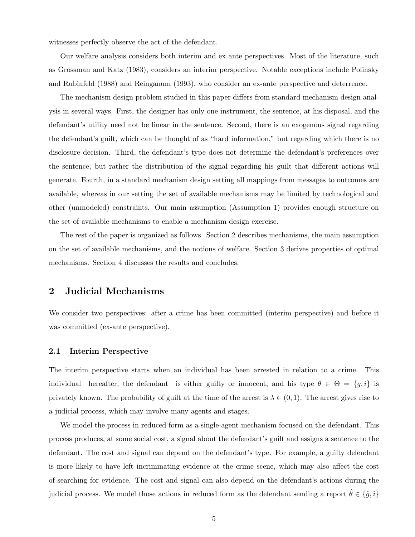witnesses perfectly observe the act of the defendant.

Our welfare analysis considers both interim and ex ante perspectives. Most of the literature, such as Grossman and Katz (1983), considers an interim perspective. Notable exceptions include Polinsky and Rubinfeld (1988) and Reinganum (1993), who consider an ex-ante perspective and deterrence.

The mechanism design problem studied in this paper differs from standard mechanism design analysis in several ways. First, the designer has only one instrument, the sentence, at his disposal, and the defendant's utility need not be linear in the sentence. Second, there is an exogenous signal regarding the defendant's guilt, which can be thought of as "hard information," but regarding which there is no disclosure decision. Third, the defendant's type does not determine the defendant's preferences over the sentence, but rather the distribution of the signal regarding his guilt that different actions will generate. Fourth, in a standard mechanism design setting all mappings from messages to outcomes are available, whereas in our setting the set of available mechanisms may be limited by technological and other (unmodeled) constraints. Our main assumption (Assumption 1) provides enough structure on the set of available mechanisms to enable a mechanism design exercise.

The rest of the paper is organized as follows. Section 2 describes mechanisms, the main assumption on the set of available mechanisms, and the notions of welfare. Section 3 derives properties of optimal mechanisms. Section 4 discusses the results and concludes.

## 2 Judicial Mechanisms

We consider two perspectives: after a crime has been committed (interim perspective) and before it was committed (ex-ante perspective).

#### 2.1 Interim Perspective

The interim perspective starts when an individual has been arrested in relation to a crime. This individual—hereafter, the defendant—is either guilty or innocent, and his type  $\theta \in \Theta = \{g, i\}$  is privately known. The probability of guilt at the time of the arrest is  $\lambda \in (0,1)$ . The arrest gives rise to a judicial process, which may involve many agents and stages.

We model the process in reduced form as a single-agent mechanism focused on the defendant. This process produces, at some social cost, a signal about the defendant's guilt and assigns a sentence to the defendant. The cost and signal can depend on the defendant's type. For example, a guilty defendant is more likely to have left incriminating evidence at the crime scene, which may also affect the cost of searching for evidence. The cost and signal can also depend on the defendant's actions during the judicial process. We model those actions in reduced form as the defendant sending a report  $\hat{\theta} \in \{\hat{g}, \hat{i}\}$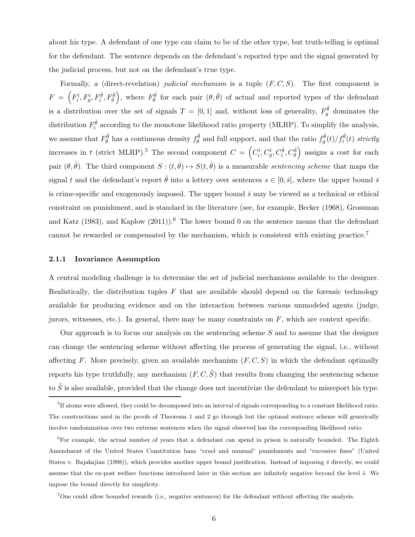about his type. A defendant of one type can claim to be of the other type, but truth-telling is optimal for the defendant. The sentence depends on the defendant's reported type and the signal generated by the judicial process, but not on the defendant's true type.

Formally, a (direct-revelation) judicial mechanism is a tuple  $(F, C, S)$ . The first component is  $F = \left(F_i^i, F_g^i, F_g^{\hat{g}}, F_g^{\hat{g}}\right)$ , where  $F_{\theta}^{\hat{\theta}}$  for each pair  $(\theta, \hat{\theta})$  of actual and reported types of the defendant is a distribution over the set of signals  $T = [0, 1]$  and, without loss of generality,  $F_g^{\hat{\theta}}$  dominates the distribution  $F_i^{\hat{\theta}}$  according to the monotone likelihood ratio property (MLRP). To simplify the analysis, we assume that  $F^{\hat{\theta}}_{\theta}$  has a continuous density  $f^{\hat{\theta}}_{\theta}$  and full support, and that the ratio  $f^{\hat{\theta}}_g(t)/f^{\hat{\theta}}_i(t)$  strictly increases in t (strict MLRP).<sup>5</sup> The second component  $C = \left(C_i^{\hat{i}}, C_g^{\hat{i}}, C_g^{\hat{g}}, C_g^{\hat{g}}\right)$  assigns a cost for each pair  $(\theta, \hat{\theta})$ . The third component  $S : (t, \hat{\theta}) \mapsto S(t, \hat{\theta})$  is a measurable sentencing scheme that maps the signal t and the defendant's report  $\hat{\theta}$  into a lottery over sentences  $s \in [0, \bar{s}]$ , where the upper bound  $\bar{s}$ is crime-specific and exogenously imposed. The upper bound  $\bar{s}$  may be viewed as a technical or ethical constraint on punishment, and is standard in the literature (see, for example, Becker (1968), Grossman and Katz (1983), and Kaplow (2011)).<sup>6</sup> The lower bound 0 on the sentence means that the defendant cannot be rewarded or compensated by the mechanism, which is consistent with existing practice.<sup>7</sup>

#### 2.1.1 Invariance Assumption

A central modeling challenge is to determine the set of judicial mechanisms available to the designer. Realistically, the distribution tuples  $F$  that are available should depend on the forensic technology available for producing evidence and on the interaction between various unmodeled agents (judge, jurors, witnesses, etc.). In general, there may be many constraints on  $F$ , which are context specific.

Our approach is to focus our analysis on the sentencing scheme  $S$  and to assume that the designer can change the sentencing scheme without affecting the process of generating the signal, i.e., without affecting F. More precisely, given an available mechanism  $(F, C, S)$  in which the defendant optimally reports his type truthfully, any mechanism  $(F, C, \tilde{S})$  that results from changing the sentencing scheme to  $\tilde{S}$  is also available, provided that the change does not incentivize the defendant to misreport his type.

<sup>&</sup>lt;sup>5</sup>If atoms were allowed, they could be decomposed into an interval of signals corresponding to a constant likelihood ratio. The constructions used in the proofs of Theorems 1 and 2 go through but the optimal sentence scheme will generically involve randomization over two extreme sentences when the signal observed has the corresponding likelihood ratio.

<sup>&</sup>lt;sup>6</sup>For example, the actual number of years that a defendant can spend in prison is naturally bounded. The Eighth Amendment of the United States Constitution bans "cruel and unusual" punishments and "excessive fines" (United States v. Bajakajian (1998)), which provides another upper bound justification. Instead of imposing  $\bar{s}$  directly, we could assume that the ex-post welfare functions introduced later in this section are infinitely negative beyond the level  $\bar{s}$ . We impose the bound directly for simplicity.

<sup>7</sup>One could allow bounded rewards (i.e., negative sentences) for the defendant without affecting the analysis.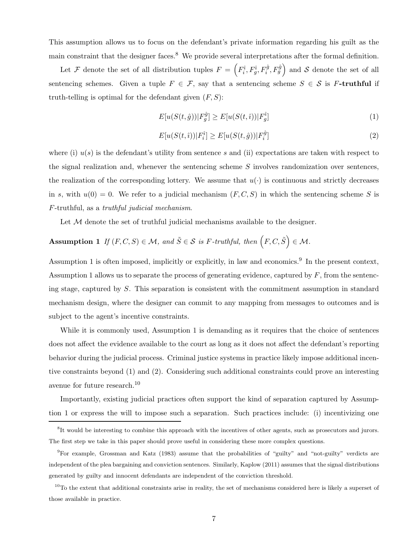This assumption allows us to focus on the defendant's private information regarding his guilt as the main constraint that the designer faces.<sup>8</sup> We provide several interpretations after the formal definition.

Let F denote the set of all distribution tuples  $F = \left(F_i^{\hat{i}}, F_g^{\hat{i}}, F_i^{\hat{g}}, F_g^{\hat{g}}\right)$  and S denote the set of all sentencing schemes. Given a tuple  $F \in \mathcal{F}$ , say that a sentencing scheme  $S \in \mathcal{S}$  is F-truthful if truth-telling is optimal for the defendant given  $(F, S)$ :

$$
E[u(S(t, \hat{g})) | F_g^{\hat{g}}] \ge E[u(S(t, \hat{i})) | F_g^{\hat{i}}]
$$
\n(1)

$$
E[u(S(t,i))|F_i^{\hat{i}}] \ge E[u(S(t,\hat{g}))|F_i^{\hat{g}}]
$$
\n(2)

where (i)  $u(s)$  is the defendant's utility from sentence s and (ii) expectations are taken with respect to the signal realization and, whenever the sentencing scheme S involves randomization over sentences, the realization of the corresponding lottery. We assume that  $u(\cdot)$  is continuous and strictly decreases in s, with  $u(0) = 0$ . We refer to a judicial mechanism  $(F, C, S)$  in which the sentencing scheme S is F-truthful, as a truthful judicial mechanism.

Let M denote the set of truthful judicial mechanisms available to the designer.

# Assumption 1 If  $(F, C, S) \in \mathcal{M}$ , and  $\tilde{S} \in \mathcal{S}$  is F-truthful, then  $(F, C, \tilde{S}) \in \mathcal{M}$ .

Assumption 1 is often imposed, implicitly or explicitly, in law and economics.<sup>9</sup> In the present context, Assumption 1 allows us to separate the process of generating evidence, captured by  $F$ , from the sentencing stage, captured by S. This separation is consistent with the commitment assumption in standard mechanism design, where the designer can commit to any mapping from messages to outcomes and is subject to the agent's incentive constraints.

While it is commonly used, Assumption 1 is demanding as it requires that the choice of sentences does not affect the evidence available to the court as long as it does not affect the defendant's reporting behavior during the judicial process. Criminal justice systems in practice likely impose additional incentive constraints beyond (1) and (2). Considering such additional constraints could prove an interesting avenue for future research.<sup>10</sup>

Importantly, existing judicial practices often support the kind of separation captured by Assumption 1 or express the will to impose such a separation. Such practices include: (i) incentivizing one

<sup>&</sup>lt;sup>8</sup>It would be interesting to combine this approach with the incentives of other agents, such as prosecutors and jurors. The first step we take in this paper should prove useful in considering these more complex questions.

<sup>9</sup>For example, Grossman and Katz (1983) assume that the probabilities of "guilty" and "not-guilty" verdicts are independent of the plea bargaining and conviction sentences. Similarly, Kaplow (2011) assumes that the signal distributions generated by guilty and innocent defendants are independent of the conviction threshold.

 $10$ To the extent that additional constraints arise in reality, the set of mechanisms considered here is likely a superset of those available in practice.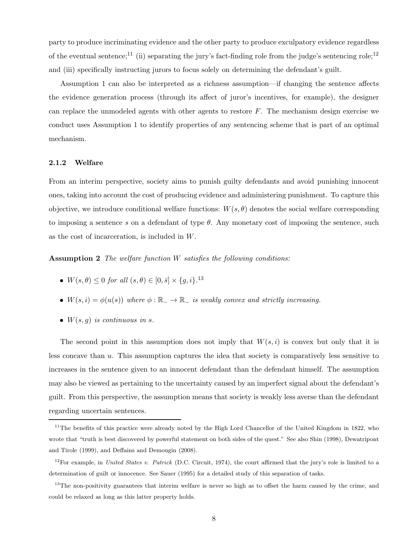party to produce incriminating evidence and the other party to produce exculpatory evidence regardless of the eventual sentence;<sup>11</sup> (ii) separating the jury's fact-finding role from the judge's sentencing role;<sup>12</sup> and (iii) specifically instructing jurors to focus solely on determining the defendant's guilt.

Assumption 1 can also be interpreted as a richness assumption—if changing the sentence affects the evidence generation process (through its affect of juror's incentives, for example), the designer can replace the unmodeled agents with other agents to restore  $F$ . The mechanism design exercise we conduct uses Assumption 1 to identify properties of any sentencing scheme that is part of an optimal mechanism.

#### 2.1.2 Welfare

From an interim perspective, society aims to punish guilty defendants and avoid punishing innocent ones, taking into account the cost of producing evidence and administering punishment. To capture this objective, we introduce conditional welfare functions:  $W(s, \theta)$  denotes the social welfare corresponding to imposing a sentence s on a defendant of type  $\theta$ . Any monetary cost of imposing the sentence, such as the cost of incarceration, is included in W.

**Assumption 2** The welfare function  $W$  satisfies the following conditions:

- $W(s, \theta) \le 0$  for all  $(s, \theta) \in [0, \bar{s}] \times \{g, i\}.$ <sup>13</sup>
- $W(s, i) = \phi(u(s))$  where  $\phi : \mathbb{R}_+ \to \mathbb{R}_-$  is weakly convex and strictly increasing.
- $\bullet$   $W(s, q)$  is continuous in s.

The second point in this assumption does not imply that  $W(s, i)$  is convex but only that it is less concave than u. This assumption captures the idea that society is comparatively less sensitive to increases in the sentence given to an innocent defendant than the defendant himself. The assumption may also be viewed as pertaining to the uncertainty caused by an imperfect signal about the defendant's guilt. From this perspective, the assumption means that society is weakly less averse than the defendant regarding uncertain sentences.

<sup>&</sup>lt;sup>11</sup>The benefits of this practice were already noted by the High Lord Chancellor of the United Kingdom in 1822, who wrote that "truth is best discovered by powerful statement on both sides of the quest." See also Shin (1998), Dewatripont and Tirole (1999), and Deffains and Demougin (2008).

<sup>&</sup>lt;sup>12</sup>For example, in *United States v. Patrick* (D.C. Circuit, 1974), the court affirmed that the jury's role is limited to a determination of guilt or innocence. See Sauer (1995) for a detailed study of this separation of tasks.

 $13$ The non-positivity guarantees that interim welfare is never so high as to offset the harm caused by the crime, and could be relaxed as long as this latter property holds.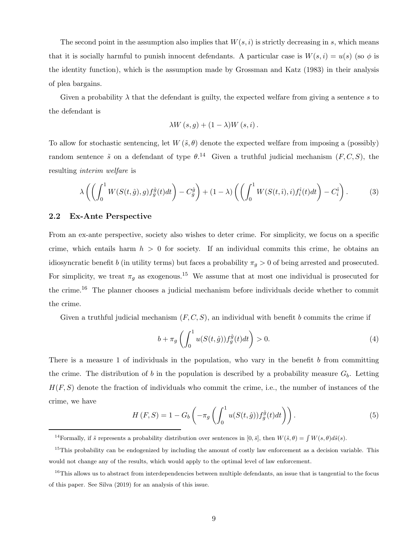The second point in the assumption also implies that  $W(s, i)$  is strictly decreasing in s, which means that it is socially harmful to punish innocent defendants. A particular case is  $W(s, i) = u(s)$  (so  $\phi$  is the identity function), which is the assumption made by Grossman and Katz (1983) in their analysis of plea bargains.

Given a probability  $\lambda$  that the defendant is guilty, the expected welfare from giving a sentence s to the defendant is

$$
\lambda W(s,g) + (1 - \lambda)W(s,i).
$$

To allow for stochastic sentencing, let  $W(\tilde{s}, \theta)$  denote the expected welfare from imposing a (possibly) random sentence  $\tilde{s}$  on a defendant of type  $\theta$ .<sup>14</sup> Given a truthful judicial mechanism  $(F, C, S)$ , the resulting interim welfare is

$$
\lambda \left( \left( \int_0^1 W(S(t,\hat{g}),g) f_g^{\hat{g}}(t) dt \right) - C_g^{\hat{g}} \right) + (1 - \lambda) \left( \left( \int_0^1 W(S(t,\hat{i}),i) f_i^{\hat{i}}(t) dt \right) - C_i^{\hat{i}} \right). \tag{3}
$$

#### 2.2 Ex-Ante Perspective

From an ex-ante perspective, society also wishes to deter crime. For simplicity, we focus on a specific crime, which entails harm  $h > 0$  for society. If an individual commits this crime, he obtains an idiosyncratic benefit b (in utility terms) but faces a probability  $\pi_g > 0$  of being arrested and prosecuted. For simplicity, we treat  $\pi_g$  as exogenous.<sup>15</sup> We assume that at most one individual is prosecuted for the crime.<sup>16</sup> The planner chooses a judicial mechanism before individuals decide whether to commit the crime.

Given a truthful judicial mechanism  $(F, C, S)$ , an individual with benefit b commits the crime if

$$
b + \pi_g \left( \int_0^1 u(S(t, \hat{g})) f_g^{\hat{g}}(t) dt \right) > 0.
$$
 (4)

There is a measure 1 of individuals in the population, who vary in the benefit  $b$  from committing the crime. The distribution of b in the population is described by a probability measure  $G_b$ . Letting  $H(F, S)$  denote the fraction of individuals who commit the crime, i.e., the number of instances of the crime, we have

$$
H(F, S) = 1 - G_b \left( -\pi_g \left( \int_0^1 u(S(t, \hat{g})) f_g^{\hat{g}}(t) dt \right) \right).
$$
 (5)

<sup>&</sup>lt;sup>14</sup>Formally, if  $\tilde{s}$  represents a probability distribution over sentences in  $[0, \bar{s}]$ , then  $W(\tilde{s}, \theta) = \int W(s, \theta) d\tilde{s}(s)$ .

<sup>&</sup>lt;sup>15</sup>This probability can be endogenized by including the amount of costly law enforcement as a decision variable. This would not change any of the results, which would apply to the optimal level of law enforcement.

 $16$ This allows us to abstract from interdependencies between multiple defendants, an issue that is tangential to the focus of this paper. See Silva (2019) for an analysis of this issue.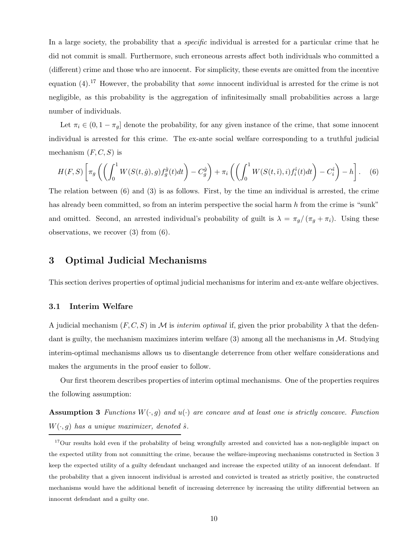In a large society, the probability that a *specific* individual is arrested for a particular crime that he did not commit is small. Furthermore, such erroneous arrests affect both individuals who committed a (different) crime and those who are innocent. For simplicity, these events are omitted from the incentive equation  $(4)$ .<sup>17</sup> However, the probability that *some* innocent individual is arrested for the crime is not negligible, as this probability is the aggregation of infinitesimally small probabilities across a large number of individuals.

Let  $\pi_i \in (0, 1 - \pi_g]$  denote the probability, for any given instance of the crime, that some innocent individual is arrested for this crime. The ex-ante social welfare corresponding to a truthful judicial mechanism  $(F, C, S)$  is

$$
H(F, S)\left[\pi_g\left(\left(\int_0^1 W(S(t, \hat{g}), g)f_g^{\hat{g}}(t)dt\right) - C_g^{\hat{g}}\right) + \pi_i\left(\left(\int_0^1 W(S(t, \hat{i}), i)f_i^{\hat{i}}(t)dt\right) - C_i^{\hat{i}}\right) - h\right].
$$
 (6)

The relation between (6) and (3) is as follows. First, by the time an individual is arrested, the crime has already been committed, so from an interim perspective the social harm h from the crime is "sunk" and omitted. Second, an arrested individual's probability of guilt is  $\lambda = \pi_g/(\pi_g + \pi_i)$ . Using these observations, we recover (3) from (6).

## 3 Optimal Judicial Mechanisms

This section derives properties of optimal judicial mechanisms for interim and ex-ante welfare objectives.

#### 3.1 Interim Welfare

A judicial mechanism  $(F, C, S)$  in M is *interim optimal* if, given the prior probability  $\lambda$  that the defendant is guilty, the mechanism maximizes interim welfare  $(3)$  among all the mechanisms in M. Studying interim-optimal mechanisms allows us to disentangle deterrence from other welfare considerations and makes the arguments in the proof easier to follow.

Our first theorem describes properties of interim optimal mechanisms. One of the properties requires the following assumption:

**Assumption 3** Functions  $W(\cdot, g)$  and  $u(\cdot)$  are concave and at least one is strictly concave. Function  $W(\cdot, g)$  has a unique maximizer, denoted  $\hat{s}$ .

<sup>&</sup>lt;sup>17</sup>Our results hold even if the probability of being wrongfully arrested and convicted has a non-negligible impact on the expected utility from not committing the crime, because the welfare-improving mechanisms constructed in Section 3 keep the expected utility of a guilty defendant unchanged and increase the expected utility of an innocent defendant. If the probability that a given innocent individual is arrested and convicted is treated as strictly positive, the constructed mechanisms would have the additional benefit of increasing deterrence by increasing the utility differential between an innocent defendant and a guilty one.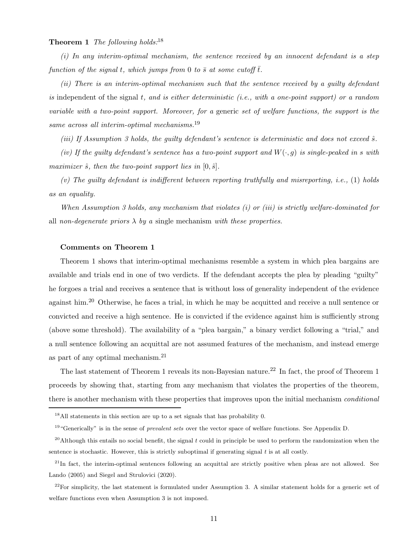#### **Theorem 1** The following holds:<sup>18</sup>

 $(i)$  In any interim-optimal mechanism, the sentence received by an innocent defendant is a step function of the signal t, which jumps from 0 to  $\bar{s}$  at some cutoff  $\bar{t}$ .

(ii) There is an interim-optimal mechanism such that the sentence received by a guilty defendant is independent of the signal  $t$ , and is either deterministic (i.e., with a one-point support) or a random variable with a two-point support. Moreover, for a generic set of welfare functions, the support is the same across all interim-optimal mechanisms.<sup>19</sup>

(iii) If Assumption 3 holds, the quilty defendant's sentence is deterministic and does not exceed  $\hat{s}$ .

(iv) If the guilty defendant's sentence has a two-point support and  $W(\cdot, g)$  is single-peaked in s with maximizer  $\hat{s}$ , then the two-point support lies in  $[0, \hat{s}]$ .

(v) The quilty defendant is indifferent between reporting truthfully and misreporting, i.e., (1) holds as an equality.

When Assumption 3 holds, any mechanism that violates (i) or (iii) is strictly welfare-dominated for all non-degenerate priors  $\lambda$  by a single mechanism with these properties.

#### Comments on Theorem 1

Theorem 1 shows that interim-optimal mechanisms resemble a system in which plea bargains are available and trials end in one of two verdicts. If the defendant accepts the plea by pleading "guilty" he forgoes a trial and receives a sentence that is without loss of generality independent of the evidence against him.<sup>20</sup> Otherwise, he faces a trial, in which he may be acquitted and receive a null sentence or convicted and receive a high sentence. He is convicted if the evidence against him is sufficiently strong (above some threshold). The availability of a "plea bargain," a binary verdict following a "trial," and a null sentence following an acquittal are not assumed features of the mechanism, and instead emerge as part of any optimal mechanism.<sup>21</sup>

The last statement of Theorem 1 reveals its non-Bayesian nature.<sup>22</sup> In fact, the proof of Theorem 1 proceeds by showing that, starting from any mechanism that violates the properties of the theorem, there is another mechanism with these properties that improves upon the initial mechanism *conditional* 

<sup>18</sup>All statements in this section are up to a set signals that has probability 0.

<sup>&</sup>lt;sup>19</sup> "Generically" is in the sense of *prevalent sets* over the vector space of welfare functions. See Appendix D.

 $^{20}$ Although this entails no social benefit, the signal t could in principle be used to perform the randomization when the sentence is stochastic. However, this is strictly suboptimal if generating signal  $t$  is at all costly.

 $21$ In fact, the interim-optimal sentences following an acquittal are strictly positive when pleas are not allowed. See Lando (2005) and Siegel and Strulovici (2020).

 $22$ For simplicity, the last statement is formulated under Assumption 3. A similar statement holds for a generic set of welfare functions even when Assumption 3 is not imposed.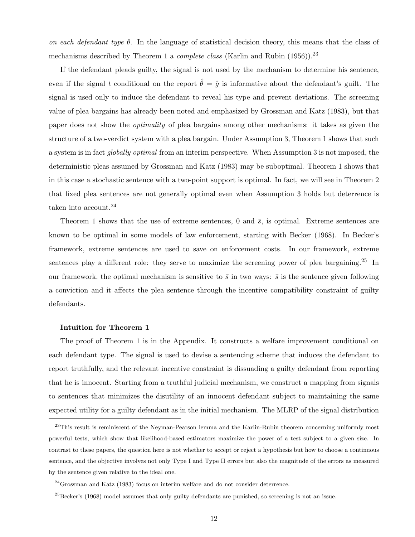on each defendant type  $\theta$ . In the language of statistical decision theory, this means that the class of mechanisms described by Theorem 1 a *complete class* (Karlin and Rubin  $(1956)$ ).<sup>23</sup>

If the defendant pleads guilty, the signal is not used by the mechanism to determine his sentence, even if the signal t conditional on the report  $\hat{\theta} = \hat{g}$  is informative about the defendant's guilt. The signal is used only to induce the defendant to reveal his type and prevent deviations. The screening value of plea bargains has already been noted and emphasized by Grossman and Katz (1983), but that paper does not show the optimality of plea bargains among other mechanisms: it takes as given the structure of a two-verdict system with a plea bargain. Under Assumption 3, Theorem 1 shows that such a system is in fact globally optimal from an interim perspective. When Assumption 3 is not imposed, the deterministic pleas assumed by Grossman and Katz (1983) may be suboptimal. Theorem 1 shows that in this case a stochastic sentence with a two-point support is optimal. In fact, we will see in Theorem 2 that fixed plea sentences are not generally optimal even when Assumption 3 holds but deterrence is taken into account.<sup>24</sup>

Theorem 1 shows that the use of extreme sentences, 0 and  $\bar{s}$ , is optimal. Extreme sentences are known to be optimal in some models of law enforcement, starting with Becker (1968). In Becker's framework, extreme sentences are used to save on enforcement costs. In our framework, extreme sentences play a different role: they serve to maximize the screening power of plea bargaining.<sup>25</sup> In our framework, the optimal mechanism is sensitive to  $\bar{s}$  in two ways:  $\bar{s}$  is the sentence given following a conviction and it affects the plea sentence through the incentive compatibility constraint of guilty defendants.

#### Intuition for Theorem 1

The proof of Theorem 1 is in the Appendix. It constructs a welfare improvement conditional on each defendant type. The signal is used to devise a sentencing scheme that induces the defendant to report truthfully, and the relevant incentive constraint is dissuading a guilty defendant from reporting that he is innocent. Starting from a truthful judicial mechanism, we construct a mapping from signals to sentences that minimizes the disutility of an innocent defendant subject to maintaining the same expected utility for a guilty defendant as in the initial mechanism. The MLRP of the signal distribution

<sup>&</sup>lt;sup>23</sup>This result is reminiscent of the Neyman-Pearson lemma and the Karlin-Rubin theorem concerning uniformly most powerful tests, which show that likelihood-based estimators maximize the power of a test subject to a given size. In contrast to these papers, the question here is not whether to accept or reject a hypothesis but how to choose a continuous sentence, and the objective involves not only Type I and Type II errors but also the magnitude of the errors as measured by the sentence given relative to the ideal one.

<sup>24</sup>Grossman and Katz (1983) focus on interim welfare and do not consider deterrence.

 $^{25}$ Becker's (1968) model assumes that only guilty defendants are punished, so screening is not an issue.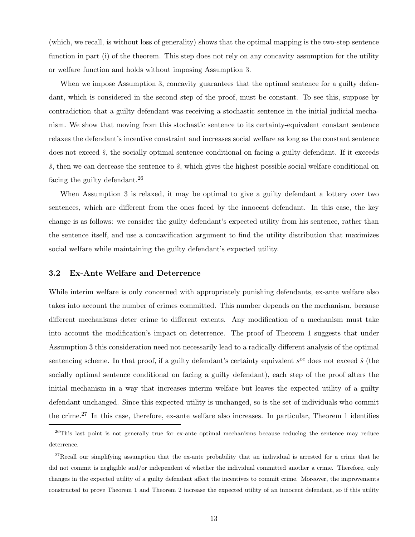(which, we recall, is without loss of generality) shows that the optimal mapping is the two-step sentence function in part (i) of the theorem. This step does not rely on any concavity assumption for the utility or welfare function and holds without imposing Assumption 3.

When we impose Assumption 3, concavity guarantees that the optimal sentence for a guilty defendant, which is considered in the second step of the proof, must be constant. To see this, suppose by contradiction that a guilty defendant was receiving a stochastic sentence in the initial judicial mechanism. We show that moving from this stochastic sentence to its certainty-equivalent constant sentence relaxes the defendant's incentive constraint and increases social welfare as long as the constant sentence does not exceed  $\hat{s}$ , the socially optimal sentence conditional on facing a guilty defendant. If it exceeds  $\hat{s}$ , then we can decrease the sentence to  $\hat{s}$ , which gives the highest possible social welfare conditional on facing the guilty defendant.<sup>26</sup>

When Assumption 3 is relaxed, it may be optimal to give a guilty defendant a lottery over two sentences, which are different from the ones faced by the innocent defendant. In this case, the key change is as follows: we consider the guilty defendant's expected utility from his sentence, rather than the sentence itself, and use a concavification argument to find the utility distribution that maximizes social welfare while maintaining the guilty defendant's expected utility.

#### 3.2 Ex-Ante Welfare and Deterrence

While interim welfare is only concerned with appropriately punishing defendants, ex-ante welfare also takes into account the number of crimes committed. This number depends on the mechanism, because different mechanisms deter crime to different extents. Any modification of a mechanism must take into account the modification's impact on deterrence. The proof of Theorem 1 suggests that under Assumption 3 this consideration need not necessarily lead to a radically different analysis of the optimal sentencing scheme. In that proof, if a guilty defendant's certainty equivalent  $s^{ce}$  does not exceed  $\hat{s}$  (the socially optimal sentence conditional on facing a guilty defendant), each step of the proof alters the initial mechanism in a way that increases interim welfare but leaves the expected utility of a guilty defendant unchanged. Since this expected utility is unchanged, so is the set of individuals who commit the crime.<sup>27</sup> In this case, therefore, ex-ante welfare also increases. In particular, Theorem 1 identifies

 $26$ This last point is not generally true for ex-ante optimal mechanisms because reducing the sentence may reduce deterrence.

<sup>&</sup>lt;sup>27</sup>Recall our simplifying assumption that the ex-ante probability that an individual is arrested for a crime that he did not commit is negligible and/or independent of whether the individual committed another a crime. Therefore, only changes in the expected utility of a guilty defendant affect the incentives to commit crime. Moreover, the improvements constructed to prove Theorem 1 and Theorem 2 increase the expected utility of an innocent defendant, so if this utility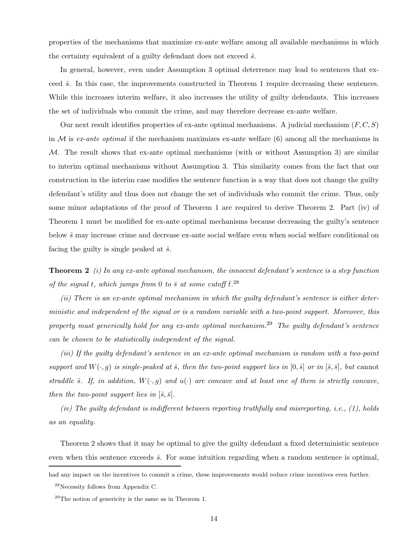properties of the mechanisms that maximize ex-ante welfare among all available mechanisms in which the certainty equivalent of a guilty defendant does not exceed  $\hat{s}$ .

In general, however, even under Assumption 3 optimal deterrence may lead to sentences that exceed  $\hat{s}$ . In this case, the improvements constructed in Theorem 1 require decreasing these sentences. While this increases interim welfare, it also increases the utility of guilty defendants. This increases the set of individuals who commit the crime, and may therefore decrease ex-ante welfare.

Our next result identifies properties of ex-ante optimal mechanisms. A judicial mechanism  $(F, C, S)$ in  $M$  is ex-ante optimal if the mechanism maximizes ex-ante welfare (6) among all the mechanisms in  $M$ . The result shows that ex-ante optimal mechanisms (with or without Assumption 3) are similar to interim optimal mechanisms without Assumption 3. This similarity comes from the fact that our construction in the interim case modifies the sentence function is a way that does not change the guilty defendant's utility and thus does not change the set of individuals who commit the crime. Thus, only some minor adaptations of the proof of Theorem 1 are required to derive Theorem 2. Part (iv) of Theorem 1 must be modified for ex-ante optimal mechanisms because decreasing the guilty's sentence below  $\hat{s}$  may increase crime and decrease ex-ante social welfare even when social welfare conditional on facing the guilty is single peaked at  $\hat{s}$ .

**Theorem 2** (i) In any ex-ante optimal mechanism, the innocent defendant's sentence is a step function of the signal t, which jumps from 0 to  $\bar{s}$  at some cutoff  $\bar{t}$ .<sup>28</sup>

(ii) There is an ex-ante optimal mechanism in which the guilty defendant's sentence is either deterministic and independent of the signal or is a random variable with a two-point support. Moreover, this property must generically hold for any ex-ante optimal mechanism.<sup>29</sup> The quilty defendant's sentence can be chosen to be statistically independent of the signal.

(iii) If the guilty defendant's sentence in an ex-ante optimal mechanism is random with a two-point support and  $W(\cdot, g)$  is single-peaked at  $\hat{s}$ , then the two-point support lies in  $[0, \hat{s}]$  or in  $[\hat{s}, \bar{s}]$ , but cannot straddle  $\hat{s}$ . If, in addition,  $W(\cdot,g)$  and  $u(\cdot)$  are concave and at least one of them is strictly concave, then the two-point support lies in  $[\hat{s}, \bar{s}]$ .

(iv) The guilty defendant is indifferent between reporting truthfully and misreporting, i.e., (1), holds as an equality.

Theorem 2 shows that it may be optimal to give the guilty defendant a fixed deterministic sentence even when this sentence exceeds  $\hat{s}$ . For some intuition regarding when a random sentence is optimal,

had any impact on the incentives to commit a crime, these improvements would reduce crime incentives even further.

<sup>28</sup>Necessity follows from Appendix C.

 $29$ The notion of genericity is the same as in Theorem 1.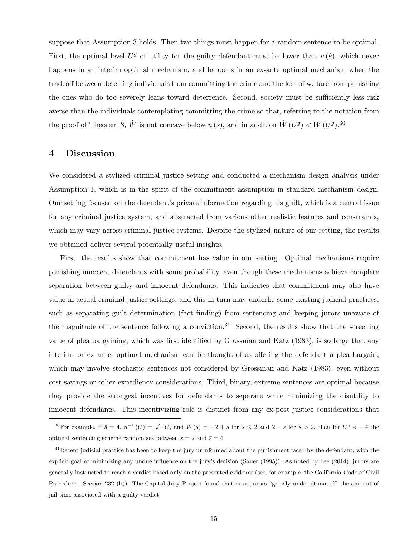suppose that Assumption 3 holds. Then two things must happen for a random sentence to be optimal. First, the optimal level  $U<sup>g</sup>$  of utility for the guilty defendant must be lower than  $u(\hat{s})$ , which never happens in an interim optimal mechanism, and happens in an ex-ante optimal mechanism when the tradeoff between deterring individuals from committing the crime and the loss of welfare from punishing the ones who do too severely leans toward deterrence. Second, society must be sufficiently less risk averse than the individuals contemplating committing the crime so that, referring to the notation from the proof of Theorem 3,  $\hat{W}$  is not concave below  $u(\hat{s})$ , and in addition  $\hat{W}(U^g) < \bar{W}(U^g)$ .<sup>30</sup>

## 4 Discussion

We considered a stylized criminal justice setting and conducted a mechanism design analysis under Assumption 1, which is in the spirit of the commitment assumption in standard mechanism design. Our setting focused on the defendant's private information regarding his guilt, which is a central issue for any criminal justice system, and abstracted from various other realistic features and constraints, which may vary across criminal justice systems. Despite the stylized nature of our setting, the results we obtained deliver several potentially useful insights.

First, the results show that commitment has value in our setting. Optimal mechanisms require punishing innocent defendants with some probability, even though these mechanisms achieve complete separation between guilty and innocent defendants. This indicates that commitment may also have value in actual criminal justice settings, and this in turn may underlie some existing judicial practices, such as separating guilt determination (fact finding) from sentencing and keeping jurors unaware of the magnitude of the sentence following a conviction.<sup>31</sup> Second, the results show that the screening value of plea bargaining, which was first identified by Grossman and Katz (1983), is so large that any interim- or ex ante- optimal mechanism can be thought of as offering the defendant a plea bargain, which may involve stochastic sentences not considered by Grossman and Katz (1983), even without cost savings or other expediency considerations. Third, binary, extreme sentences are optimal because they provide the strongest incentives for defendants to separate while minimizing the disutility to innocent defendants. This incentivizing role is distinct from any ex-post justice considerations that

<sup>&</sup>lt;sup>30</sup>For example, if  $\bar{s} = 4$ ,  $u^{-1}(U) = \sqrt{-U}$ , and  $W(s) = -2 + s$  for  $s \le 2$  and  $2 - s$  for  $s > 2$ , then for  $U^g < -4$  the optimal sentencing scheme randomizes between  $s = 2$  and  $\bar{s} = 4$ .

 $31$ Recent judicial practice has been to keep the jury uninformed about the punishment faced by the defendant, with the explicit goal of minimizing any undue influence on the jury's decision (Sauer (1995)). As noted by Lee (2014), jurors are generally instructed to reach a verdict based only on the presented evidence (see, for example, the California Code of Civil Procedure - Section 232 (b)). The Capital Jury Project found that most jurors "grossly underestimated" the amount of jail time associated with a guilty verdict.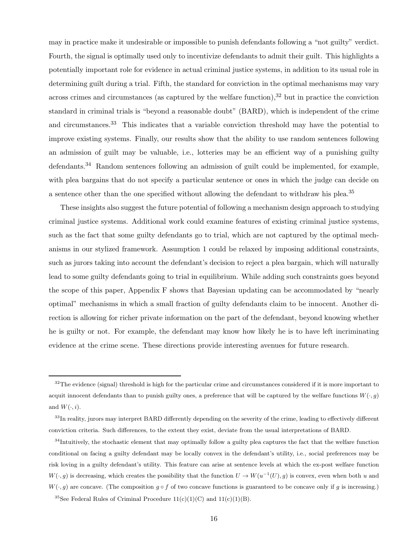may in practice make it undesirable or impossible to punish defendants following a "not guilty" verdict. Fourth, the signal is optimally used only to incentivize defendants to admit their guilt. This highlights a potentially important role for evidence in actual criminal justice systems, in addition to its usual role in determining guilt during a trial. Fifth, the standard for conviction in the optimal mechanisms may vary across crimes and circumstances (as captured by the welfare function), $32$  but in practice the conviction standard in criminal trials is "beyond a reasonable doubt" (BARD), which is independent of the crime and circumstances.<sup>33</sup> This indicates that a variable conviction threshold may have the potential to improve existing systems. Finally, our results show that the ability to use random sentences following an admission of guilt may be valuable, i.e., lotteries may be an efficient way of a punishing guilty defendants.<sup>34</sup> Random sentences following an admission of guilt could be implemented, for example, with plea bargains that do not specify a particular sentence or ones in which the judge can decide on a sentence other than the one specified without allowing the defendant to withdraw his plea.<sup>35</sup>

These insights also suggest the future potential of following a mechanism design approach to studying criminal justice systems. Additional work could examine features of existing criminal justice systems, such as the fact that some guilty defendants go to trial, which are not captured by the optimal mechanisms in our stylized framework. Assumption 1 could be relaxed by imposing additional constraints, such as jurors taking into account the defendant's decision to reject a plea bargain, which will naturally lead to some guilty defendants going to trial in equilibrium. While adding such constraints goes beyond the scope of this paper, Appendix F shows that Bayesian updating can be accommodated by "nearly optimal" mechanisms in which a small fraction of guilty defendants claim to be innocent. Another direction is allowing for richer private information on the part of the defendant, beyond knowing whether he is guilty or not. For example, the defendant may know how likely he is to have left incriminating evidence at the crime scene. These directions provide interesting avenues for future research.

 $32$ The evidence (signal) threshold is high for the particular crime and circumstances considered if it is more important to acquit innocent defendants than to punish guilty ones, a preference that will be captured by the welfare functions  $W(\cdot, g)$ and  $W(\cdot, i)$ .

<sup>&</sup>lt;sup>33</sup>In reality, jurors may interpret BARD differently depending on the severity of the crime, leading to effectively different conviction criteria. Such differences, to the extent they exist, deviate from the usual interpretations of BARD.

<sup>&</sup>lt;sup>34</sup>Intuitively, the stochastic element that may optimally follow a guilty plea captures the fact that the welfare function conditional on facing a guilty defendant may be locally convex in the defendant's utility, i.e., social preferences may be risk loving in a guilty defendant's utility. This feature can arise at sentence levels at which the ex-post welfare function  $W(\cdot,g)$  is decreasing, which creates the possibility that the function  $U \to W(u^{-1}(U),g)$  is convex, even when both u and  $W(\cdot, q)$  are concave. (The composition  $q \circ f$  of two concave functions is guaranteed to be concave only if q is increasing.)

<sup>&</sup>lt;sup>35</sup>See Federal Rules of Criminal Procedure  $11(c)(1)(C)$  and  $11(c)(1)(B)$ .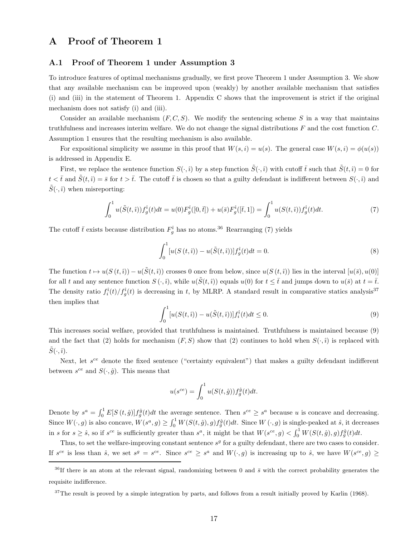### A Proof of Theorem 1

#### A.1 Proof of Theorem 1 under Assumption 3

To introduce features of optimal mechanisms gradually, we first prove Theorem 1 under Assumption 3. We show that any available mechanism can be improved upon (weakly) by another available mechanism that satisfies (i) and (iii) in the statement of Theorem 1. Appendix C shows that the improvement is strict if the original mechanism does not satisfy (i) and (iii).

Consider an available mechanism  $(F, C, S)$ . We modify the sentencing scheme S in a way that maintains truthfulness and increases interim welfare. We do not change the signal distributions F and the cost function C. Assumption 1 ensures that the resulting mechanism is also available.

For expositional simplicity we assume in this proof that  $W(s, i) = u(s)$ . The general case  $W(s, i) = \phi(u(s))$ is addressed in Appendix E.

First, we replace the sentence function  $S(\cdot,i)$  by a step function  $\tilde{S}(\cdot,i)$  with cutoff  $\bar{t}$  such that  $\tilde{S}(t,i) = 0$  for  $t < \bar{t}$  and  $\tilde{S}(t, \hat{i}) = \bar{s}$  for  $t > \bar{t}$ . The cutoff  $\bar{t}$  is chosen so that a guilty defendant is indifferent between  $S(\cdot, \hat{i})$  and  $\tilde{S}(\cdot, \hat{\imath})$  when misreporting:

$$
\int_0^1 u(\tilde{S}(t,\hat{\imath})) f_g^{\hat{\imath}}(t) dt = u(0) F_g^{\hat{\imath}}([0,\bar{t}]) + u(\bar{s}) F_g^{\hat{\imath}}([\bar{t},1]) = \int_0^1 u(S(t,\hat{\imath})) f_g^{\hat{\imath}}(t) dt.
$$
 (7)

The cutoff  $\bar{t}$  exists because distribution  $F_g^{\hat{i}}$  has no atoms.<sup>36</sup> Rearranging (7) yields

$$
\int_0^1 [u(S(t,i)) - u(\tilde{S}(t,i))]f_g^{\hat{i}}(t)dt = 0.
$$
\n(8)

The function  $t \mapsto u(S(t,\hat{i})) - u(\tilde{S}(t,\hat{i}))$  crosses 0 once from below, since  $u(S(t,\hat{i}))$  lies in the interval  $[u(\tilde{s}), u(0)]$ for all t and any sentence function  $S(\cdot, \hat{\imath})$ , while  $u(\tilde{S}(t, \hat{\imath}))$  equals  $u(0)$  for  $t \leq \bar{t}$  and jumps down to  $u(\bar{s})$  at  $t = \bar{t}$ . The density ratio  $f_i^{\hat{i}}(t)/f_j^{\hat{i}}(t)$  is decreasing in t, by MLRP. A standard result in comparative statics analysis<sup>37</sup> then implies that

$$
\int_0^1 [u(S(t,i)) - u(\tilde{S}(t,i))] f_i^{\hat{i}}(t) dt \le 0.
$$
\n(9)

This increases social welfare, provided that truthfulness is maintained. Truthfulness is maintained because (9) and the fact that (2) holds for mechanism  $(F, S)$  show that (2) continues to hold when  $S(\cdot, \hat{\imath})$  is replaced with  $\tilde{S}(\cdot,\hat{\imath}).$ 

Next, let  $s^{ce}$  denote the fixed sentence ("certainty equivalent") that makes a guilty defendant indifferent between  $s^{ce}$  and  $S(\cdot, \hat{g})$ . This means that

$$
u(s^{ce}) = \int_0^1 u(S(t, \hat{g})) f_g^{\hat{g}}(t) dt.
$$

Denote by  $s^a = \int_0^1 E[S(t, \hat{g})] f_{\hat{g}}^{\hat{g}}(t) dt$  the average sentence. Then  $s^{ce} \geq s^a$  because u is concave and decreasing. Since  $W(\cdot, g)$  is also concave,  $W(s^a, g) \geq \int_0^1 W(S(t, \hat{g}), g) f_g^{\hat{g}}(t) dt$ . Since  $W(\cdot, g)$  is single-peaked at  $\hat{s}$ , it decreases in s for  $s \geq \hat{s}$ , so if  $s^{ce}$  is sufficiently greater than  $s^a$ , it might be that  $W(s^{ce}, g) < \int_0^1 W(S(t, \hat{g}), g) f_g^{\hat{g}}(t) dt$ .

Thus, to set the welfare-improving constant sentence  $s<sup>g</sup>$  for a guilty defendant, there are two cases to consider. If  $s^{ce}$  is less than  $\hat{s}$ , we set  $s^g = s^{ce}$ . Since  $s^{ce} \geq s^a$  and  $W(\cdot, g)$  is increasing up to  $\hat{s}$ , we have  $W(s^{ce}, g) \geq$ 

<sup>&</sup>lt;sup>36</sup>If there is an atom at the relevant signal, randomizing between 0 and  $\bar{s}$  with the correct probability generates the requisite indifference.

 $37$ The result is proved by a simple integration by parts, and follows from a result initially proved by Karlin (1968).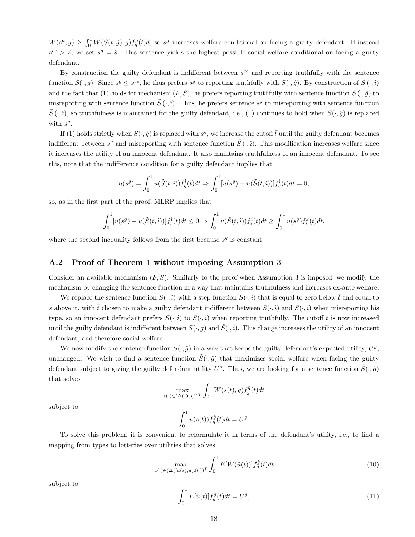$W(s^a, g) \geq \int_0^1 W(S(t, \hat{g}), g) f_g^{\hat{g}}(t) d$ , so  $s^g$  increases welfare conditional on facing a guilty defendant. If instead  $s^{ce} > \hat{s}$ , we set  $s^g = \hat{s}$ . This sentence yields the highest possible social welfare conditional on facing a guilty defendant.

By construction the guilty defendant is indifferent between  $s^{ce}$  and reporting truthfully with the sentence function  $S(\cdot, \hat{g})$ . Since  $s^g \leq s^{ce}$ , he thus prefers  $s^g$  to reporting truthfully with  $S(\cdot, \hat{g})$ . By construction of  $\tilde{S}(\cdot, \hat{i})$ and the fact that (1) holds for mechanism  $(F, S)$ , he prefers reporting truthfully with sentence function  $S(\cdot, \hat{g})$  to misreporting with sentence function  $\tilde{S}(\cdot,i)$ . Thus, he prefers sentence  $s^g$  to misreporting with sentence function  $\tilde{S}(\cdot,\hat{i})$ , so truthfulness is maintained for the guilty defendant, i.e., (1) continues to hold when  $S(\cdot,\hat{g})$  is replaced with  $s^g$ .

If (1) holds strictly when  $S(\cdot, \hat{g})$  is replaced with  $s^g$ , we increase the cutoff  $\bar{t}$  until the guilty defendant becomes indifferent between  $s^g$  and misreporting with sentence function  $\tilde{S}(\cdot,\hat{i})$ . This modification increases welfare since it increases the utility of an innocent defendant. It also maintains truthfulness of an innocent defendant. To see this, note that the indifference condition for a guilty defendant implies that

$$
u(s^{g}) = \int_0^1 u(\tilde{S}(t, \hat{i})) f_g^{\hat{i}}(t) dt \Rightarrow \int_0^1 [u(s^{g}) - u(\tilde{S}(t, \hat{i}))] f_g^{\hat{i}}(t) dt = 0,
$$

so, as in the first part of the proof, MLRP implies that

$$
\int_0^1 [u(s^g) - u(\tilde{S}(t, \hat{i}))] f_i^{\hat{i}}(t) dt \le 0 \Rightarrow \int_0^1 u(\tilde{S}(t, \hat{i})) f_i^{\hat{i}}(t) dt \ge \int_0^1 u(s^g) f_i^{\hat{g}}(t) dt,
$$

where the second inequality follows from the first because  $s<sup>g</sup>$  is constant.

#### A.2 Proof of Theorem 1 without imposing Assumption 3

Consider an available mechanism  $(F, S)$ . Similarly to the proof when Assumption 3 is imposed, we modify the mechanism by changing the sentence function in a way that maintains truthfulness and increases ex-ante welfare.

We replace the sentence function  $S(\cdot,\hat{\imath})$  with a step function  $\tilde{S}(\cdot,\hat{\imath})$  that is equal to zero below  $\bar{t}$  and equal to  $\bar{s}$  above it, with  $\bar{t}$  chosen to make a guilty defendant indifferent between  $\tilde{S}(\cdot,\hat{i})$  and  $S(\cdot,\hat{i})$  when misreporting his type, so an innocent defendant prefers  $\tilde{S}(\cdot,\hat{i})$  to  $S(\cdot,\hat{i})$  when reporting truthfully. The cutoff  $\bar{t}$  is now increased until the guilty defendant is indifferent between  $S(\cdot, \hat{g})$  and  $\tilde{S}(\cdot, \hat{i})$ . This change increases the utility of an innocent defendant, and therefore social welfare.

We now modify the sentence function  $S(\cdot, \hat{g})$  in a way that keeps the guilty defendant's expected utility,  $U^g$ , unchanged. We wish to find a sentence function  $\tilde{S}(\cdot, \hat{g})$  that maximizes social welfare when facing the guilty defendant subject to giving the guilty defendant utility  $U^g$ . Thus, we are looking for a sentence function  $\tilde{S}(\cdot, \hat{g})$ that solves

$$
\max_{s(\cdot) \in (\Delta([0,\bar{s}]))^T} \int_0^1 W(s(t),g) f_g^{\hat{g}}(t) dt
$$

subject to

$$
\int_0^1 u(s(t))f_g^{\hat{g}}(t)dt = U^g.
$$

To solve this problem, it is convenient to reformulate it in terms of the defendant's utility, i.e., to find a mapping from types to lotteries over utilities that solves

$$
\max_{\hat{u}(\cdot) \in (\Delta([u(\bar{s}), u(0)]))^T} \int_0^1 E[\hat{W}(\hat{u}(t))] f_g^{\hat{g}}(t) dt \tag{10}
$$

subject to

$$
\int_{0}^{1} E[\hat{u}(t)] f_g^{\hat{g}}(t) dt = U^g,
$$
\n(11)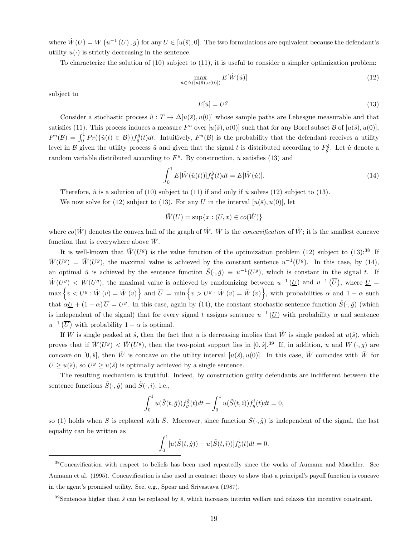where  $\hat{W}(U) = W(u^{-1}(U), g)$  for any  $U \in [u(\bar{s}), 0]$ . The two formulations are equivalent because the defendant's utility  $u(\cdot)$  is strictly decreasing in the sentence.

To characterize the solution of (10) subject to (11), it is useful to consider a simpler optimization problem:

$$
\max_{\dot{u}\in\Delta([u(\bar{s}),u(0)])} E[\hat{W}(\dot{u})]
$$
\n(12)

subject to

$$
E[\dot{u}] = U^g. \tag{13}
$$

Consider a stochastic process  $\hat{u}: T \to \Delta[u(\bar{s}), u(0)]$  whose sample paths are Lebesgue measurable and that satisfies (11). This process induces a measure  $F^u$  over  $[u(\bar{s}), u(0)]$  such that for any Borel subset  $\mathcal B$  of  $[u(\bar{s}), u(0)]$ ,  $F^u(\mathcal{B}) = \int_0^1 Pr(\{\hat{u}(t) \in \mathcal{B}\}) f_g^{\hat{g}}(t) dt$ . Intuitively,  $F^u(\mathcal{B})$  is the probability that the defendant receives a utility level in B given the utility process  $\hat{u}$  and given that the signal t is distributed according to  $F_g^{\hat{g}}$ . Let  $\hat{u}$  denote a random variable distributed according to  $F^u$ . By construction, *u* satisfies (13) and

$$
\int_{0}^{1} E[\hat{W}(\hat{u}(t))]f_{g}^{\hat{g}}(t)dt = E[\hat{W}(\hat{u})].
$$
\n(14)

Therefore,  $\hat{u}$  is a solution of (10) subject to (11) if and only if  $\hat{u}$  solves (12) subject to (13).

We now solve for (12) subject to (13). For any U in the interval  $[u(\bar{s}), u(0)]$ , let

 $\bar{W}(U) = \sup\{x : (U, x) \in co(\hat{W})\}$ 

where  $co(\hat{W})$  denotes the convex hull of the graph of  $\hat{W}$ . W is the *concavification* of  $\hat{W}$ ; it is the smallest concave function that is everywhere above  $\hat{W}$ .

It is well-known that  $\bar{W}(U^g)$  is the value function of the optimization problem (12) subject to (13):<sup>38</sup> If  $\hat{W}(U^g) = \bar{W}(U^g)$ , the maximal value is achieved by the constant sentence  $u^{-1}(U^g)$ . In this case, by (14), an optimal  $\hat{u}$  is achieved by the sentence function  $\tilde{S}(\cdot,\hat{g}) \equiv u^{-1}(U^g)$ , which is constant in the signal t. If  $\hat{W}(U^g) < \bar{W}(U^g)$ , the maximal value is achieved by randomizing between  $u^{-1}(U)$  and  $u^{-1}(\overline{U})$ , where  $U =$  $\max\{v < U^g : \hat{W}(v) = \bar{W}(v)\}\$ and  $\overline{U} = \min\{v > U^g : \hat{W}(v) = \bar{W}(v)\}\$ , with probabilities  $\alpha$  and  $1 - \alpha$  such that  $\alpha \underline{U} + (1 - \alpha) \overline{U} = U^g$ . In this case, again by (14), the constant stochastic sentence function  $\tilde{S}(\cdot, \hat{g})$  (which is independent of the signal) that for every signal t assigns sentence  $u^{-1}(\underline{U})$  with probability  $\alpha$  and sentence  $u^{-1}(\overline{U})$  with probability  $1 - \alpha$  is optimal.

If W is single peaked at  $\hat{s}$ , then the fact that u is decreasing implies that  $\hat{W}$  is single peaked at  $u(\hat{s})$ , which proves that if  $\hat{W}(U^g) < \bar{W}(U^g)$ , then the two-point support lies in  $[0,\hat{s}]^{39}$  If, in addition, u and  $W(\cdot,g)$  are concave on [0,  $\hat{s}$ ], then  $\hat{W}$  is concave on the utility interval [u( $\hat{s}$ ), u(0)]. In this case,  $\hat{W}$  coincides with  $\bar{W}$  for  $U \ge u(\hat{s})$ , so  $U^g \ge u(\hat{s})$  is optimally achieved by a single sentence.

The resulting mechanism is truthful. Indeed, by construction guilty defendants are indifferent between the sentence functions  $\tilde{S}(\cdot, \hat{g})$  and  $\tilde{S}(\cdot, \hat{\imath})$ , i.e.,

$$
\int_0^1 u(\tilde{S}(t, \hat{g})) f_g^{\hat{g}}(t) dt - \int_0^1 u(\tilde{S}(t, \hat{u})) f_g^{\hat{g}}(t) dt = 0,
$$

so (1) holds when S is replaced with  $\tilde{S}$ . Moreover, since function  $\tilde{S}(\cdot, \hat{g})$  is independent of the signal, the last equality can be written as

$$
\int_0^1 [u(\tilde{S}(t,\hat{g})) - u(\tilde{S}(t,\hat{\imath}))]f_g^{\hat{\imath}}(t)dt = 0.
$$

<sup>&</sup>lt;sup>38</sup>Concavification with respect to beliefs has been used repeatedly since the works of Aumann and Maschler. See Aumann et al. (1995). Concavification is also used in contract theory to show that a principal's payoff function is concave in the agent's promised utility. See, e.g., Spear and Srivastava (1987).

 $39$ Sentences higher than  $\hat{s}$  can be replaced by  $\hat{s}$ , which increases interim welfare and relaxes the incentive constraint.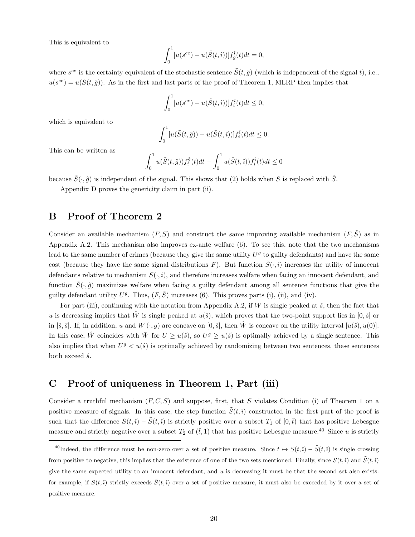This is equivalent to

$$
\int_0^1 [u(s^{ce}) - u(\tilde{S}(t, \hat{\imath}))] f_g^{\hat{\imath}}(t) dt = 0,
$$

where  $s^{ce}$  is the certainty equivalent of the stochastic sentence  $\tilde{S}(t, \hat{g})$  (which is independent of the signal t), i.e.,  $u(s^{ce}) = u(S(t, \hat{g}))$ . As in the first and last parts of the proof of Theorem 1, MLRP then implies that

$$
\int_0^1 [u(s^{ce}) - u(\tilde{S}(t,\hat{\imath}))]f_i^{\hat{\imath}}(t)dt \le 0,
$$

which is equivalent to

$$
\int_0^1 [u(\tilde{S}(t,\hat{g})) - u(\tilde{S}(t,\hat{\imath}))]f_i^{\hat{\imath}}(t)dt \le 0.
$$

This can be written as

$$
\int_0^1 u(\tilde{S}(t,\hat{g})) f_i^{\hat{g}}(t) dt - \int_0^1 u(\tilde{S}(t,\hat{i})) f_i^{\hat{i}}(t) dt \le 0
$$

because  $\tilde{S}(\cdot, \hat{g})$  is independent of the signal. This shows that (2) holds when S is replaced with  $\tilde{S}$ .

Appendix D proves the genericity claim in part (ii).

## B Proof of Theorem 2

Consider an available mechanism  $(F, S)$  and construct the same improving available mechanism  $(F, \tilde{S})$  as in Appendix A.2. This mechanism also improves ex-ante welfare (6). To see this, note that the two mechanisms lead to the same number of crimes (because they give the same utility  $U<sup>g</sup>$  to guilty defendants) and have the same cost (because they have the same signal distributions F). But function  $\tilde{S}(\cdot,\hat{i})$  increases the utility of innocent defendants relative to mechanism  $S(\cdot, i)$ , and therefore increases welfare when facing an innocent defendant, and function  $\tilde{S}(\cdot,\hat{g})$  maximizes welfare when facing a guilty defendant among all sentence functions that give the guilty defendant utility  $U^g$ . Thus,  $(F, \tilde{S})$  increases (6). This proves parts (i), (ii), and (iv).

For part (iii), continuing with the notation from Appendix A.2, if W is single peaked at  $\hat{s}$ , then the fact that u is decreasing implies that  $\hat{W}$  is single peaked at  $u(\hat{s})$ , which proves that the two-point support lies in  $[0,\hat{s}]$  or in [ $\hat{s}, \bar{s}$ ]. If, in addition, u and  $W(\cdot, g)$  are concave on [0,  $\hat{s}$ ], then  $\hat{W}$  is concave on the utility interval  $[u(\hat{s}), u(0)]$ . In this case,  $\hat{W}$  coincides with  $\bar{W}$  for  $U \geq u(\hat{s})$ , so  $U^g \geq u(\hat{s})$  is optimally achieved by a single sentence. This also implies that when  $U^g < u(\hat{s})$  is optimally achieved by randomizing between two sentences, these sentences both exceed  $\hat{s}$ .

## C Proof of uniqueness in Theorem 1, Part (iii)

Consider a truthful mechanism  $(F, C, S)$  and suppose, first, that S violates Condition (i) of Theorem 1 on a positive measure of signals. In this case, the step function  $\tilde{S}(t, \hat{i})$  constructed in the first part of the proof is such that the difference  $S(t, i) - \tilde{S}(t, i)$  is strictly positive over a subset  $T_1$  of  $[0, i)$  that has positive Lebesgue measure and strictly negative over a subset  $T_2$  of  $(\hat{t},1)$  that has positive Lebesgue measure.<sup>40</sup> Since u is strictly

<sup>&</sup>lt;sup>40</sup>Indeed, the difference must be non-zero over a set of positive measure. Since  $t \mapsto S(t,\hat{i}) - \tilde{S}(t,\hat{i})$  is single crossing from positive to negative, this implies that the existence of one of the two sets mentioned. Finally, since  $S(t, \hat{i})$  and  $\tilde{S}(t, \hat{i})$ give the same expected utility to an innocent defendant, and  $u$  is decreasing it must be that the second set also exists: for example, if  $S(t, \hat{i})$  strictly exceeds  $\tilde{S}(t, \hat{i})$  over a set of positive measure, it must also be exceeded by it over a set of positive measure.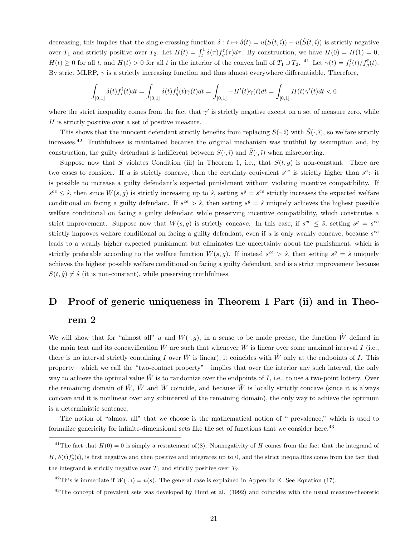decreasing, this implies that the single-crossing function  $\delta : t \mapsto \delta(t) = u(S(t, \hat{i})) - u(\tilde{S}(t, \hat{i}))$  is strictly negative over  $T_1$  and strictly positive over  $T_2$ . Let  $H(t) = \int_t^1 \delta(\tau) f_g^{\hat{i}}(\tau) d\tau$ . By construction, we have  $H(0) = H(1) = 0$ ,  $H(t) \geq 0$  for all t, and  $H(t) > 0$  for all t in the interior of the convex hull of  $T_1 \cup T_2$ . <sup>41</sup> Let  $\gamma(t) = f_i^{\hat{i}}(t)/f_g^{\hat{i}}(t)$ . By strict MLRP,  $\gamma$  is a strictly increasing function and thus almost everywhere differentiable. Therefore,

$$
\int_{[0,1]}\delta(t)f_i^\hat{i}(t)dt=\int_{[0,1]}\delta(t)f_g^\hat{i}(t)\gamma(t)dt=\int_{[0,1]}-H'(t)\gamma(t)dt=\int_{[0,1]}H(t)\gamma'(t)dt<0
$$

where the strict inequality comes from the fact that  $\gamma'$  is strictly negative except on a set of measure zero, while H is strictly positive over a set of positive measure.

This shows that the innocent defendant strictly benefits from replacing  $S(\cdot, \hat{\imath})$  with  $\tilde{S}(\cdot, \hat{\imath})$ , so welfare strictly increases.<sup>42</sup> Truthfulness is maintained because the original mechanism was truthful by assumption and, by construction, the guilty defendant is indifferent between  $S(\cdot, \hat{\imath})$  and  $\tilde{S}(\cdot, \hat{\imath})$  when misreporting.

Suppose now that S violates Condition (iii) in Theorem 1, i.e., that  $S(t, g)$  is non-constant. There are two cases to consider. If u is strictly concave, then the certainty equivalent  $s^{ce}$  is strictly higher than  $s^a$ : it is possible to increase a guilty defendant's expected punishment without violating incentive compatibility. If  $s^{ce} \leq \hat{s}$ , then since  $W(s, g)$  is strictly increasing up to  $\hat{s}$ , setting  $s^g = s^{ce}$  strictly increases the expected welfare conditional on facing a guilty defendant. If  $s^{ce} > \hat{s}$ , then setting  $s^g = \hat{s}$  uniquely achieves the highest possible welfare conditional on facing a guilty defendant while preserving incentive compatibility, which constitutes a strict improvement. Suppose now that  $W(s, g)$  is strictly concave. In this case, if  $s^{ce} \leq \hat{s}$ , setting  $s^g = s^{ce}$ strictly improves welfare conditional on facing a guilty defendant, even if u is only weakly concave, because  $s^{ce}$ leads to a weakly higher expected punishment but eliminates the uncertainty about the punishment, which is strictly preferable according to the welfare function  $W(s, g)$ . If instead  $s^{ce} > \hat{s}$ , then setting  $s^g = \hat{s}$  uniquely achieves the highest possible welfare conditional on facing a guilty defendant, and is a strict improvement because  $S(t, \hat{g}) \neq \hat{s}$  (it is non-constant), while preserving truthfulness.

# D Proof of generic uniqueness in Theorem 1 Part (ii) and in Theo-

## rem 2

We will show that for "almost all" u and  $W(\cdot, g)$ , in a sense to be made precise, the function  $\hat{W}$  defined in the main text and its concavification  $\bar{W}$  are such that whenever  $\bar{W}$  is linear over some maximal interval I (i.e., there is no interval strictly containing I over  $\bar{W}$  is linear), it coincides with  $\hat{W}$  only at the endpoints of I. This property—which we call the "two-contact property"—implies that over the interior any such interval, the only way to achieve the optimal value  $\bar{W}$  is to randomize over the endpoints of I, i.e., to use a two-point lottery. Over the remaining domain of  $\hat{W}$ ,  $\bar{W}$  and  $\hat{W}$  coincide, and because  $\bar{W}$  is locally strictly concave (since it is always concave and it is nonlinear over any subinterval of the remaining domain), the only way to achieve the optimum is a deterministic sentence.

The notion of "almost all" that we choose is the mathematical notion of " prevalence," which is used to formalize genericity for infinite-dimensional sets like the set of functions that we consider here.<sup>43</sup>

<sup>&</sup>lt;sup>41</sup>The fact that  $H(0) = 0$  is simply a restatement of(8). Nonnegativity of H comes from the fact that the integrand of H,  $\delta(t) f_g^i(t)$ , is first negative and then positive and integrates up to 0, and the strict inequalities come from the fact that the integrand is strictly negative over  $T_1$  and strictly positive over  $T_2$ .

<sup>&</sup>lt;sup>42</sup>This is immediate if  $W(\cdot, i) = u(s)$ . The general case is explained in Appendix E. See Equation (17).

<sup>&</sup>lt;sup>43</sup>The concept of prevalent sets was developed by Hunt et al. (1992) and coincides with the usual measure-theoretic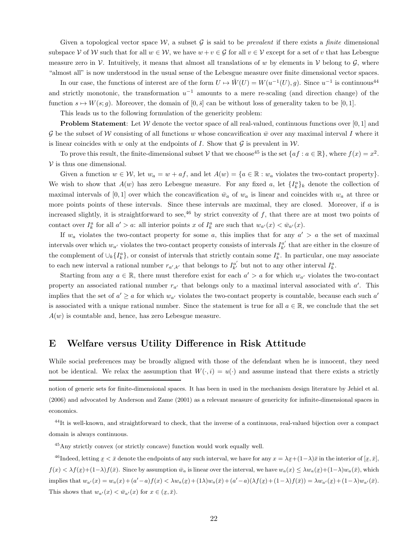Given a topological vector space W, a subset G is said to be *prevalent* if there exists a *finite* dimensional subspace V of W such that for all  $w \in W$ , we have  $w + v \in \mathcal{G}$  for all  $v \in V$  except for a set of v that has Lebesgue measure zero in  $\mathcal V$ . Intuitively, it means that almost all translations of w by elements in  $\mathcal V$  belong to  $\mathcal G$ , where "almost all" is now understood in the usual sense of the Lebesgue measure over finite dimensional vector spaces.

In our case, the functions of interest are of the form  $U \mapsto \hat{W}(U) = W(u^{-1}(U), g)$ . Since  $u^{-1}$  is continuous<sup>44</sup> and strictly monotonic, the transformation  $u^{-1}$  amounts to a mere re-scaling (and direction change) of the function  $s \mapsto W(s; q)$ . Moreover, the domain of  $[0, \bar{s}]$  can be without loss of generality taken to be [0, 1].

This leads us to the following formulation of the genericity problem:

**Problem Statement:** Let  $W$  denote the vector space of all real-valued, continuous functions over  $[0, 1]$  and G be the subset of W consisting of all functions w whose concavification  $\bar{w}$  over any maximal interval I where it is linear coincides with w only at the endpoints of I. Show that  $\mathcal G$  is prevalent in  $\mathcal W$ .

To prove this result, the finite-dimensional subset V that we choose<sup>45</sup> is the set  $\{af : a \in \mathbb{R}\}$ , where  $f(x) = x^2$ .  $V$  is thus one dimensional.

Given a function  $w \in \mathcal{W}$ , let  $w_a = w + af$ , and let  $A(w) = \{a \in \mathbb{R} : w_a$  violates the two-contact property}. We wish to show that  $A(w)$  has zero Lebesgue measure. For any fixed a, let  $\{I_k^a\}_k$  denote the collection of maximal intervals of [0, 1] over which the concavification  $\bar{w}_a$  of  $w_a$  is linear and coincides with  $w_a$  at three or more points points of these intervals. Since these intervals are maximal, they are closed. Moreover, if a is increased slightly, it is straightforward to see,<sup>46</sup> by strict convexity of f, that there are at most two points of contact over  $I_k^a$  for all  $a' > a$ : all interior points x of  $I_k^a$  are such that  $w_{a'}(x) < \bar{w}_{a'}(x)$ .

If  $w_a$  violates the two-contact property for some a, this implies that for any  $a' > a$  the set of maximal intervals over which  $w_{a'}$  violates the two-contact property consists of intervals  $I_{k'}^{a'}$  that are either in the closure of the complement of  $\cup_k \{I_k^a\}$ , or consist of intervals that strictly contain some  $I_k^a$ . In particular, one may associate to each new interval a rational number  $r_{a',k'}$  that belongs to  $I_{k'}^{a'}$  but not to any other interval  $I_k^a$ .

Starting from any  $a \in \mathbb{R}$ , there must therefore exist for each  $a' > a$  for which  $w_{a'}$  violates the two-contact property an associated rational number  $r_{a'}$  that belongs only to a maximal interval associated with  $a'$ . This implies that the set of  $a' \ge a$  for which  $w_{a'}$  violates the two-contact property is countable, because each such  $a'$ is associated with a unique rational number. Since the statement is true for all  $a \in \mathbb{R}$ , we conclude that the set  $A(w)$  is countable and, hence, has zero Lebesgue measure.

### E Welfare versus Utility Difference in Risk Attitude

While social preferences may be broadly aligned with those of the defendant when he is innocent, they need not be identical. We relax the assumption that  $W(\cdot, i) = u(\cdot)$  and assume instead that there exists a strictly

<sup>45</sup>Any strictly convex (or strictly concave) function would work equally well.

<sup>46</sup>Indeed, letting  $x < \bar{x}$  denote the endpoints of any such interval, we have for any  $x = \lambda x + (1 - \lambda)\bar{x}$  in the interior of  $[x, \bar{x}]$ ,  $f(x) < \lambda f(x) + (1-\lambda)f(\bar{x})$ . Since by assumption  $\bar{w}_a$  is linear over the interval, we have  $w_a(x) \leq \lambda w_a(\bar{x}) + (1-\lambda)w_a(\bar{x})$ , which implies that  $w_{a'}(x) = w_a(x) + (a'-a)f(x) < \lambda w_a(\underline{x}) + (1\lambda)w_a(\overline{x}) + (a'-a)(\lambda f(\underline{x}) + (1-\lambda)f(\overline{x})) = \lambda w_{a'}(\underline{x}) + (1-\lambda)w_{a'}(\overline{x})$ . This shows that  $w_{a'}(x) < \bar{w}_{a'}(x)$  for  $x \in (\underline{x}, \bar{x})$ .

notion of generic sets for finite-dimensional spaces. It has been in used in the mechanism design literature by Jehiel et al. (2006) and advocated by Anderson and Zame (2001) as a relevant measure of genericity for infinite-dimensional spaces in economics.

 $^{44}$ It is well-known, and straightforward to check, that the inverse of a continuous, real-valued bijection over a compact domain is always continuous.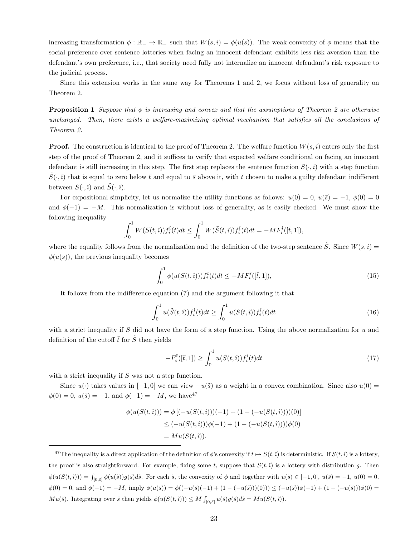increasing transformation  $\phi : \mathbb{R}_- \to \mathbb{R}_-$  such that  $W(s, i) = \phi(u(s))$ . The weak convexity of  $\phi$  means that the social preference over sentence lotteries when facing an innocent defendant exhibits less risk aversion than the defendant's own preference, i.e., that society need fully not internalize an innocent defendant's risk exposure to the judicial process.

Since this extension works in the same way for Theorems 1 and 2, we focus without loss of generality on Theorem 2.

**Proposition 1** Suppose that  $\phi$  is increasing and convex and that the assumptions of Theorem 2 are otherwise unchanged. Then, there exists a welfare-maximizing optimal mechanism that satisfies all the conclusions of Theorem 2.

**Proof.** The construction is identical to the proof of Theorem 2. The welfare function  $W(s, i)$  enters only the first step of the proof of Theorem 2, and it suffices to verify that expected welfare conditional on facing an innocent defendant is still increasing in this step. The first step replaces the sentence function  $S(\cdot, \hat{\imath})$  with a step function  $\overline{S}(\cdot, \hat{i})$  that is equal to zero below  $\overline{t}$  and equal to  $\overline{s}$  above it, with  $\overline{t}$  chosen to make a guilty defendant indifferent between  $S(\cdot, \hat{\imath})$  and  $\tilde{S}(\cdot, \hat{\imath})$ .

For expositional simplicity, let us normalize the utility functions as follows:  $u(0) = 0$ ,  $u(\bar{s}) = -1$ ,  $\phi(0) = 0$ and  $\phi(-1) = -M$ . This normalization is without loss of generality, as is easily checked. We must show the following inequality

$$
\int_0^1 W(S(t, \hat{i})) f_i^{\hat{i}}(t) dt \le \int_0^1 W(\tilde{S}(t, \hat{i})) f_i^{\hat{i}}(t) dt = -M F_i^{\hat{i}}([\bar{t}, 1]),
$$

where the equality follows from the normalization and the definition of the two-step sentence  $\tilde{S}$ . Since  $W(s, i)$  $\phi(u(s))$ , the previous inequality becomes

$$
\int_0^1 \phi(u(S(t,i))) f_i^{\hat{i}}(t) dt \le -M F_i^{\hat{i}}([\bar{t}, 1]), \tag{15}
$$

It follows from the indifference equation (7) and the argument following it that

$$
\int_0^1 u(\tilde{S}(t,i)) f_i^{\hat{i}}(t) dt \ge \int_0^1 u(S(t,i)) f_i^{\hat{i}}(t) dt \tag{16}
$$

with a strict inequality if S did not have the form of a step function. Using the above normalization for  $u$  and definition of the cutoff  $\bar{t}$  for  $\tilde{S}$  then yields

$$
-F_i^{\hat{i}}([\bar{t},1]) \ge \int_0^1 u(S(t,\hat{i})) f_i^{\hat{i}}(t) dt \tag{17}
$$

with a strict inequality if S was not a step function.

Since  $u(\cdot)$  takes values in  $[-1, 0]$  we can view  $-u(\tilde{s})$  as a weight in a convex combination. Since also  $u(0)$  =  $\phi(0) = 0, u(\bar{s}) = -1$ , and  $\phi(-1) = -M$ , we have<sup>47</sup>

$$
\phi(u(S(t, \hat{i}))) = \phi [(-u(S(t, \hat{i})))(-1) + (1 - (-u(S(t, \hat{i}))))(0)]
$$
  
\n
$$
\leq (-u(S(t, \hat{i})))\phi(-1) + (1 - (-u(S(t, \hat{i}))))\phi(0)
$$
  
\n
$$
= Mu(S(t, \hat{i})).
$$

<sup>&</sup>lt;sup>47</sup>The inequality is a direct application of the definition of  $\phi$ 's convexity if  $t \mapsto S(t, \hat{\imath})$  is deterministic. If  $S(t, \hat{\imath})$  is a lottery, the proof is also straightforward. For example, fixing some t, suppose that  $S(t, i)$  is a lottery with distribution g. Then  $\phi(u(S(t, \hat{i}))) = \int_{[0,\bar{s}]} \phi(u(\tilde{s}))g(\tilde{s})d\tilde{s}$ . For each  $\tilde{s}$ , the convexity of  $\phi$  and together with  $u(\tilde{s}) \in [-1,0], u(\bar{s}) = -1, u(0) = 0$ ,  $\phi(0) = 0$ , and  $\phi(-1) = -M$ , imply  $\phi(u(\tilde{s})) = \phi((-u(\tilde{s})(-1) + (1 - (-u(\tilde{s}))))(0))) \leq (-u(\tilde{s}))\phi(-1) + (1 - (-u(\tilde{s})))\phi(0) =$  $Mu(\tilde{s})$ . Integrating over  $\tilde{s}$  then yields  $\phi(u(S(t,\hat{i}))) \leq M \int_{[0,\bar{s}]} u(\tilde{s})g(\tilde{s})d\tilde{s} = Mu(S(t,\hat{i})).$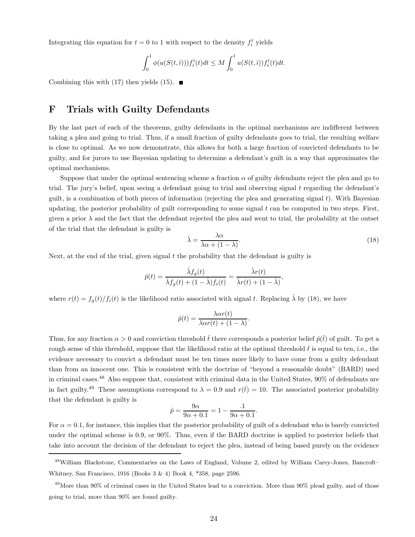Integrating this equation for  $t = 0$  to 1 with respect to the density  $f_i^{\hat{i}}$  yields

$$
\int_0^1 \phi(u(S(t,\hat{i})))f_i^{\hat{i}}(t)dt \leq M \int_0^1 u(S(t,\hat{i}))f_i^{\hat{i}}(t)dt.
$$

Combining this with (17) then yields (15).  $\blacksquare$ 

## F Trials with Guilty Defendants

By the last part of each of the theorems, guilty defendants in the optimal mechanisms are indifferent between taking a plea and going to trial. Thus, if a small fraction of guilty defendants goes to trial, the resulting welfare is close to optimal. As we now demonstrate, this allows for both a large fraction of convicted defendants to be guilty, and for jurors to use Bayesian updating to determine a defendant's guilt in a way that approximates the optimal mechanisms.

Suppose that under the optimal sentencing scheme a fraction  $\alpha$  of guilty defendants reject the plea and go to trial. The jury's belief, upon seeing a defendant going to trial and observing signal t regarding the defendant's guilt, is a combination of both pieces of information (rejecting the plea and generating signal  $t$ ). With Bayesian updating, the posterior probability of guilt corresponding to some signal  $t$  can be computed in two steps. First, given a prior  $\lambda$  and the fact that the defendant rejected the plea and went to trial, the probability at the outset of the trial that the defendant is guilty is

$$
\hat{\lambda} = \frac{\lambda \alpha}{\lambda \alpha + (1 - \lambda)}.\tag{18}
$$

Next, at the end of the trial, given signal  $t$  the probability that the defendant is guilty is

$$
\hat{p}(t) = \frac{\hat{\lambda}f_g(t)}{\hat{\lambda}f_g(t) + (1 - \hat{\lambda})f_i(t)} = \frac{\hat{\lambda}r(t)}{\hat{\lambda}r(t) + (1 - \hat{\lambda})},
$$

where  $r(t) = f_q(t)/f_i(t)$  is the likelihood ratio associated with signal t. Replacing  $\hat{\lambda}$  by (18), we have

$$
\hat{p}(t) = \frac{\lambda \alpha r(t)}{\lambda \alpha r(t) + (1 - \lambda)}.
$$

Thus, for any fraction  $\alpha > 0$  and conviction threshold  $\hat{t}$  there corresponds a posterior belief  $\hat{p}(\hat{t})$  of guilt. To get a rough sense of this threshold, suppose that the likelihood ratio at the optimal threshold  $\bar{t}$  is equal to ten, i.e., the evidence necessary to convict a defendant must be ten times more likely to have come from a guilty defendant than from an innocent one. This is consistent with the doctrine of "beyond a reasonable doubt" (BARD) used in criminal cases.<sup>48</sup> Also suppose that, consistent with criminal data in the United States, 90% of defendants are in fact guilty.<sup>49</sup> These assumptions correspond to  $\lambda = 0.9$  and  $r(\bar{t}) = 10$ . The associated posterior probability that the defendant is guilty is

$$
\hat{p} = \frac{9\alpha}{9\alpha + 0.1} = 1 - \frac{1}{9\alpha + 0.1}.
$$

For  $\alpha = 0.1$ , for instance, this implies that the posterior probability of guilt of a defendant who is barely convicted under the optimal scheme is 0.9, or 90%. Thus, even if the BARD doctrine is applied to posterior beliefs that take into account the decision of the defendant to reject the plea, instead of being based purely on the evidence

<sup>48</sup>William Blackstone, Commentaries on the Laws of England, Volume 2, edited by William Carey-Jones, Bancroft– Whitney, San Francisco, 1916 (Books 3 & 4) Book 4, \*358, page 2596.

 $^{49}$ More than 90% of criminal cases in the United States lead to a conviction. More than 90% plead guilty, and of those going to trial, more than 90% are found guilty.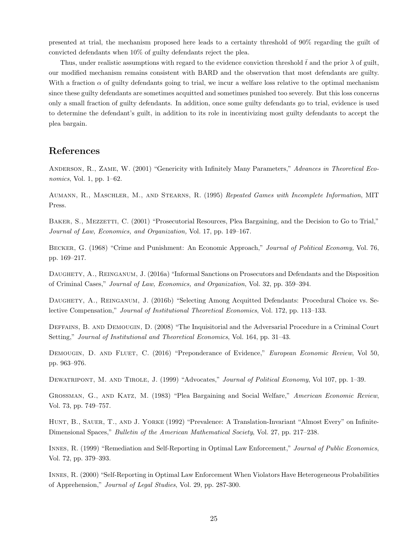presented at trial, the mechanism proposed here leads to a certainty threshold of 90% regarding the guilt of convicted defendants when 10% of guilty defendants reject the plea.

Thus, under realistic assumptions with regard to the evidence conviction threshold  $\bar{t}$  and the prior  $\lambda$  of guilt, our modified mechanism remains consistent with BARD and the observation that most defendants are guilty. With a fraction  $\alpha$  of guilty defendants going to trial, we incur a welfare loss relative to the optimal mechanism since these guilty defendants are sometimes acquitted and sometimes punished too severely. But this loss concerns only a small fraction of guilty defendants. In addition, once some guilty defendants go to trial, evidence is used to determine the defendant's guilt, in addition to its role in incentivizing most guilty defendants to accept the plea bargain.

## References

ANDERSON, R., ZAME, W. (2001) "Genericity with Infinitely Many Parameters," Advances in Theoretical Economics, Vol. 1, pp. 1–62.

Aumann, R., Maschler, M., and Stearns, R. (1995) Repeated Games with Incomplete Information, MIT Press.

BAKER, S., MEZZETTI, C. (2001) "Prosecutorial Resources, Plea Bargaining, and the Decision to Go to Trial," Journal of Law, Economics, and Organization, Vol. 17, pp. 149–167.

Becker, G. (1968) "Crime and Punishment: An Economic Approach," Journal of Political Economy, Vol. 76, pp. 169–217.

Daughety, A., Reinganum, J. (2016a) "Informal Sanctions on Prosecutors and Defendants and the Disposition of Criminal Cases," Journal of Law, Economics, and Organization, Vol. 32, pp. 359–394.

Daughety, A., Reinganum, J. (2016b) "Selecting Among Acquitted Defendants: Procedural Choice vs. Selective Compensation," Journal of Institutional Theoretical Economics, Vol. 172, pp. 113–133.

Deffains, B. and Demougin, D. (2008) "The Inquisitorial and the Adversarial Procedure in a Criminal Court Setting," Journal of Institutional and Theoretical Economics, Vol. 164, pp. 31–43.

DEMOUGIN, D. AND FLUET, C. (2016) "Preponderance of Evidence," European Economic Review, Vol 50, pp. 963–976.

DEWATRIPONT, M. AND TIROLE, J. (1999) "Advocates," Journal of Political Economy, Vol 107, pp. 1–39.

Grossman, G., and Katz, M. (1983) "Plea Bargaining and Social Welfare," American Economic Review, Vol. 73, pp. 749–757.

HUNT, B., SAUER, T., AND J. YORKE (1992) "Prevalence: A Translation-Invariant "Almost Every" on Infinite-Dimensional Spaces," Bulletin of the American Mathematical Society, Vol. 27, pp. 217–238.

Innes, R. (1999) "Remediation and Self-Reporting in Optimal Law Enforcement," Journal of Public Economics, Vol. 72, pp. 379–393.

Innes, R. (2000) "Self-Reporting in Optimal Law Enforcement When Violators Have Heterogeneous Probabilities of Apprehension," Journal of Legal Studies, Vol. 29, pp. 287-300.